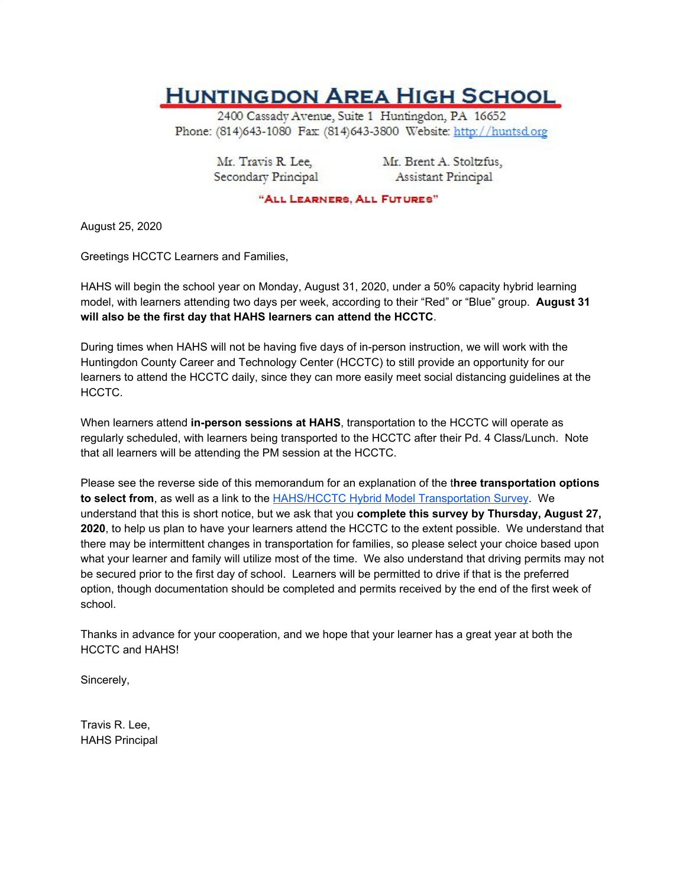## **HUNTINGDON AREA HIGH SCHOOL**

2400 Cassady Avenue, Suite 1 Huntingdon, PA 16652 Phone: (814)643-1080 Fax: (814)643-3800 Website: http://huntsd.org

Mr. Travis R. Lee, Secondary Principal Mr. Brent A. Stoltzfus, Assistant Principal

"ALL LEARNERS, ALL FUTURES"

August 25, 2020

Greetings HCCTC Learners and Families,

HAHS will begin the school year on Monday, August 31, 2020, under a 50% capacity hybrid learning model, with learners attending two days per week, according to their "Red" or "Blue" group. **August 31 will also be the first day that HAHS learners can attend the HCCTC**.

During times when HAHS will not be having five days of in-person instruction, we will work with the Huntingdon County Career and Technology Center (HCCTC) to still provide an opportunity for our learners to attend the HCCTC daily, since they can more easily meet social distancing guidelines at the HCCTC.

When learners attend **in-person sessions at HAHS**, transportation to the HCCTC will operate as regularly scheduled, with learners being transported to the HCCTC after their Pd. 4 Class/Lunch. Note that all learners will be attending the PM session at the HCCTC.

Please see the reverse side of this memorandum for an explanation of the t**hree transportation options to select from**, as well as a link to the [HAHS/HCCTC](https://docs.google.com/forms/d/e/1FAIpQLScDC7HDO-_zpjcq2w27PZhTHl_AKhRy6PTi4VDOH9s-9hPARw/viewform) Hybrid Model Transportation Survey. We understand that this is short notice, but we ask that you **complete this survey by Thursday, August 27, 2020**, to help us plan to have your learners attend the HCCTC to the extent possible. We understand that there may be intermittent changes in transportation for families, so please select your choice based upon what your learner and family will utilize most of the time. We also understand that driving permits may not be secured prior to the first day of school. Learners will be permitted to drive if that is the preferred option, though documentation should be completed and permits received by the end of the first week of school.

Thanks in advance for your cooperation, and we hope that your learner has a great year at both the HCCTC and HAHS!

Sincerely,

Travis R. Lee, HAHS Principal